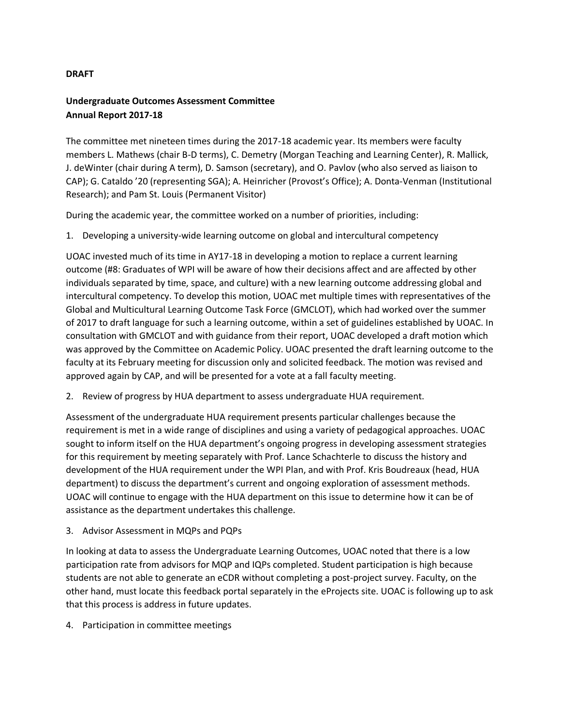## **DRAFT**

## **Undergraduate Outcomes Assessment Committee Annual Report 2017-18**

The committee met nineteen times during the 2017-18 academic year. Its members were faculty members L. Mathews (chair B-D terms), C. Demetry (Morgan Teaching and Learning Center), R. Mallick, J. deWinter (chair during A term), D. Samson (secretary), and O. Pavlov (who also served as liaison to CAP); G. Cataldo '20 (representing SGA); A. Heinricher (Provost's Office); A. Donta-Venman (Institutional Research); and Pam St. Louis (Permanent Visitor)

During the academic year, the committee worked on a number of priorities, including:

1. Developing a university-wide learning outcome on global and intercultural competency

UOAC invested much of its time in AY17-18 in developing a motion to replace a current learning outcome (#8: Graduates of WPI will be aware of how their decisions affect and are affected by other individuals separated by time, space, and culture) with a new learning outcome addressing global and intercultural competency. To develop this motion, UOAC met multiple times with representatives of the Global and Multicultural Learning Outcome Task Force (GMCLOT), which had worked over the summer of 2017 to draft language for such a learning outcome, within a set of guidelines established by UOAC. In consultation with GMCLOT and with guidance from their report, UOAC developed a draft motion which was approved by the Committee on Academic Policy. UOAC presented the draft learning outcome to the faculty at its February meeting for discussion only and solicited feedback. The motion was revised and approved again by CAP, and will be presented for a vote at a fall faculty meeting.

2. Review of progress by HUA department to assess undergraduate HUA requirement.

Assessment of the undergraduate HUA requirement presents particular challenges because the requirement is met in a wide range of disciplines and using a variety of pedagogical approaches. UOAC sought to inform itself on the HUA department's ongoing progress in developing assessment strategies for this requirement by meeting separately with Prof. Lance Schachterle to discuss the history and development of the HUA requirement under the WPI Plan, and with Prof. Kris Boudreaux (head, HUA department) to discuss the department's current and ongoing exploration of assessment methods. UOAC will continue to engage with the HUA department on this issue to determine how it can be of assistance as the department undertakes this challenge.

3. Advisor Assessment in MQPs and PQPs

In looking at data to assess the Undergraduate Learning Outcomes, UOAC noted that there is a low participation rate from advisors for MQP and IQPs completed. Student participation is high because students are not able to generate an eCDR without completing a post-project survey. Faculty, on the other hand, must locate this feedback portal separately in the eProjects site. UOAC is following up to ask that this process is address in future updates.

4. Participation in committee meetings